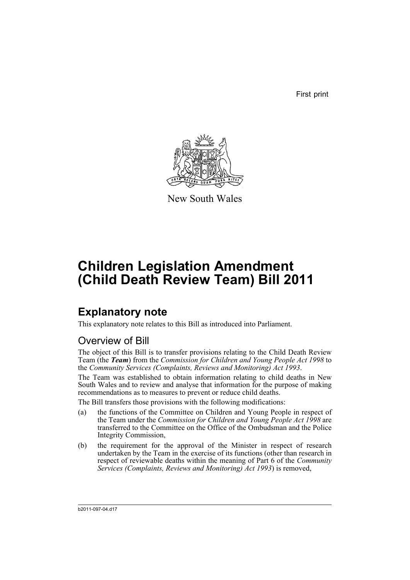First print



New South Wales

# **Children Legislation Amendment (Child Death Review Team) Bill 2011**

## **Explanatory note**

This explanatory note relates to this Bill as introduced into Parliament.

## Overview of Bill

The object of this Bill is to transfer provisions relating to the Child Death Review Team (the *Team*) from the *Commission for Children and Young People Act 1998* to the *Community Services (Complaints, Reviews and Monitoring) Act 1993*.

The Team was established to obtain information relating to child deaths in New South Wales and to review and analyse that information for the purpose of making recommendations as to measures to prevent or reduce child deaths.

The Bill transfers those provisions with the following modifications:

- (a) the functions of the Committee on Children and Young People in respect of the Team under the *Commission for Children and Young People Act 1998* are transferred to the Committee on the Office of the Ombudsman and the Police Integrity Commission,
- (b) the requirement for the approval of the Minister in respect of research undertaken by the Team in the exercise of its functions (other than research in respect of reviewable deaths within the meaning of Part 6 of the *Community Services (Complaints, Reviews and Monitoring) Act 1993*) is removed,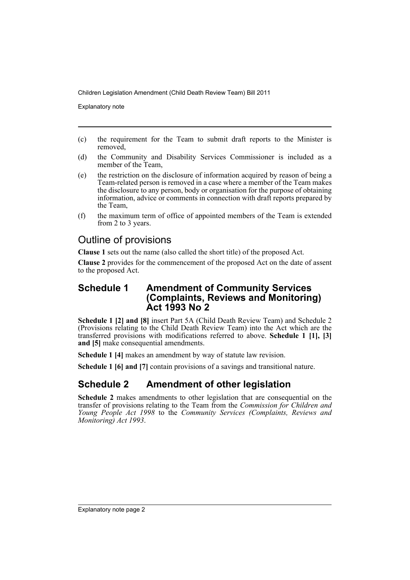Explanatory note

- (c) the requirement for the Team to submit draft reports to the Minister is removed,
- (d) the Community and Disability Services Commissioner is included as a member of the Team,
- (e) the restriction on the disclosure of information acquired by reason of being a Team-related person is removed in a case where a member of the Team makes the disclosure to any person, body or organisation for the purpose of obtaining information, advice or comments in connection with draft reports prepared by the Team,
- (f) the maximum term of office of appointed members of the Team is extended from 2 to 3 years.

### Outline of provisions

**Clause 1** sets out the name (also called the short title) of the proposed Act.

**Clause 2** provides for the commencement of the proposed Act on the date of assent to the proposed Act.

### **Schedule 1 Amendment of Community Services (Complaints, Reviews and Monitoring) Act 1993 No 2**

**Schedule 1 [2] and [8]** insert Part 5A (Child Death Review Team) and Schedule 2 (Provisions relating to the Child Death Review Team) into the Act which are the transferred provisions with modifications referred to above. **Schedule 1 [1], [3] and [5]** make consequential amendments.

**Schedule 1 [4]** makes an amendment by way of statute law revision.

**Schedule 1 [6] and [7]** contain provisions of a savings and transitional nature.

## **Schedule 2 Amendment of other legislation**

**Schedule 2** makes amendments to other legislation that are consequential on the transfer of provisions relating to the Team from the *Commission for Children and Young People Act 1998* to the *Community Services (Complaints, Reviews and Monitoring) Act 1993*.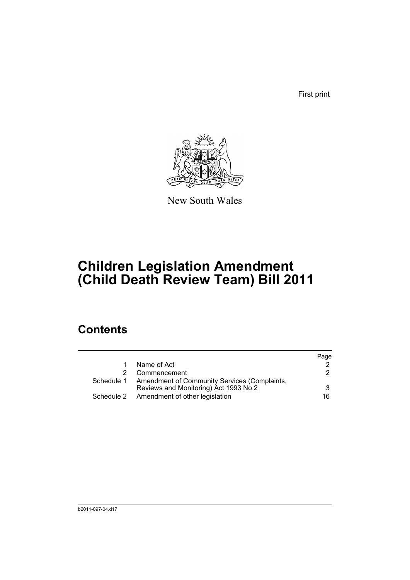First print



New South Wales

# **Children Legislation Amendment (Child Death Review Team) Bill 2011**

## **Contents**

|                                                                                                  | Page |
|--------------------------------------------------------------------------------------------------|------|
| Name of Act                                                                                      |      |
| Commencement                                                                                     | 2    |
| Schedule 1 Amendment of Community Services (Complaints,<br>Reviews and Monitoring) Act 1993 No 2 | 3    |
| Schedule 2 Amendment of other legislation                                                        | 16.  |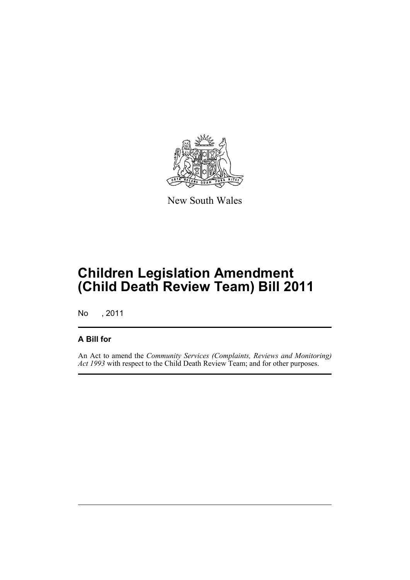

New South Wales

## **Children Legislation Amendment (Child Death Review Team) Bill 2011**

No , 2011

### **A Bill for**

An Act to amend the *Community Services (Complaints, Reviews and Monitoring) Act 1993* with respect to the Child Death Review Team; and for other purposes.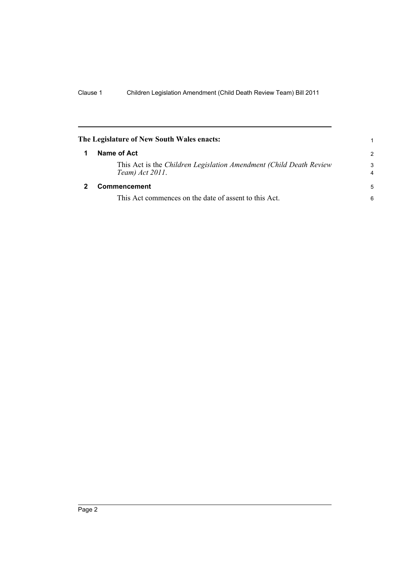<span id="page-5-1"></span><span id="page-5-0"></span>

| The Legislature of New South Wales enacts:                                             |                     |
|----------------------------------------------------------------------------------------|---------------------|
| Name of Act                                                                            | $\mathcal{P}$       |
| This Act is the Children Legislation Amendment (Child Death Review)<br>Team) Act 2011. | 3<br>$\overline{4}$ |
| Commencement                                                                           | 5                   |
| This Act commences on the date of assent to this Act.                                  | 6                   |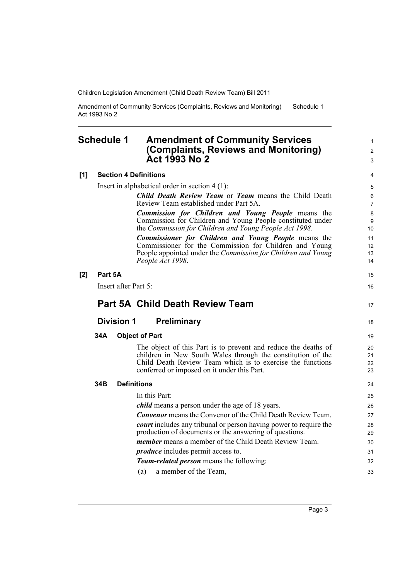Amendment of Community Services (Complaints, Reviews and Monitoring) Act 1993 No 2 Schedule 1

### <span id="page-6-0"></span>**Schedule 1 Amendment of Community Services (Complaints, Reviews and Monitoring) Act 1993 No 2**

#### **[1] Section 4 Definitions** Insert in alphabetical order in section 4 (1): *Child Death Review Team* or *Team* means the Child Death Review Team established under Part 5A. *Commission for Children and Young People* means the Commission for Children and Young People constituted under the *Commission for Children and Young People Act 1998*. *Commissioner for Children and Young People* means the Commissioner for the Commission for Children and Young People appointed under the *Commission for Children and Young*

|     |         | People Act 1998.                                                                                                                                                                                                                           | 14                   |
|-----|---------|--------------------------------------------------------------------------------------------------------------------------------------------------------------------------------------------------------------------------------------------|----------------------|
| [2] | Part 5A |                                                                                                                                                                                                                                            | 15                   |
|     |         | Insert after Part 5:                                                                                                                                                                                                                       | 16                   |
|     |         | <b>Part 5A Child Death Review Team</b>                                                                                                                                                                                                     | 17                   |
|     |         | <b>Division 1</b><br><b>Preliminary</b>                                                                                                                                                                                                    | 18                   |
|     | 34A     | <b>Object of Part</b>                                                                                                                                                                                                                      | 19                   |
|     |         | The object of this Part is to prevent and reduce the deaths of<br>children in New South Wales through the constitution of the<br>Child Death Review Team which is to exercise the functions<br>conferred or imposed on it under this Part. | 20<br>21<br>22<br>23 |
|     | 34B     | <b>Definitions</b>                                                                                                                                                                                                                         | 24                   |
|     |         | In this Part:                                                                                                                                                                                                                              | 25                   |
|     |         | <i>child</i> means a person under the age of 18 years.                                                                                                                                                                                     | 26                   |
|     |         | <b>Convenor</b> means the Convenor of the Child Death Review Team.                                                                                                                                                                         | 27                   |
|     |         | <i>court</i> includes any tribunal or person having power to require the<br>production of documents or the answering of questions.                                                                                                         | 28<br>29             |
|     |         | <i>member</i> means a member of the Child Death Review Team.                                                                                                                                                                               | 30                   |
|     |         | <i>produce</i> includes permit access to.                                                                                                                                                                                                  | 31                   |
|     |         | <b>Team-related person</b> means the following:                                                                                                                                                                                            | 32                   |
|     |         | a member of the Team,<br>(a)                                                                                                                                                                                                               | 33                   |

1 2 3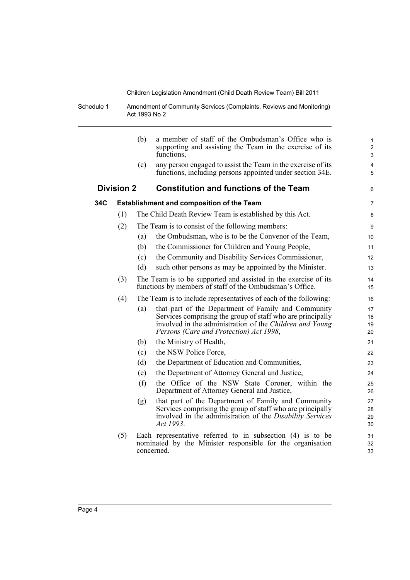Schedule 1 Amendment of Community Services (Complaints, Reviews and Monitoring) Act 1993 No 2

| a member of staff of the Ombudsman's Office who is<br>$\mathbf{1}$<br>supporting and assisting the Team in the exercise of its<br>$\boldsymbol{2}$<br>3                                                |
|--------------------------------------------------------------------------------------------------------------------------------------------------------------------------------------------------------|
| any person engaged to assist the Team in the exercise of its<br>4<br>functions, including persons appointed under section 34E.<br>5                                                                    |
| 6                                                                                                                                                                                                      |
| 7                                                                                                                                                                                                      |
| 8                                                                                                                                                                                                      |
| 9                                                                                                                                                                                                      |
| the Ombudsman, who is to be the Convenor of the Team,<br>10                                                                                                                                            |
| 11                                                                                                                                                                                                     |
| the Community and Disability Services Commissioner,<br>12                                                                                                                                              |
| such other persons as may be appointed by the Minister.<br>13                                                                                                                                          |
| The Team is to be supported and assisted in the exercise of its<br>14<br>15                                                                                                                            |
| The Team is to include representatives of each of the following:<br>16                                                                                                                                 |
| that part of the Department of Family and Community<br>17<br>Services comprising the group of staff who are principally<br>18<br>involved in the administration of the Children and Young<br>19<br>20  |
| 21                                                                                                                                                                                                     |
| 22                                                                                                                                                                                                     |
| 23                                                                                                                                                                                                     |
| 24                                                                                                                                                                                                     |
| the Office of the NSW State Coroner, within the<br>25<br>26                                                                                                                                            |
| that part of the Department of Family and Community<br>27<br>Services comprising the group of staff who are principally<br>28<br>involved in the administration of the Disability Services<br>29<br>30 |
| Each representative referred to in subsection $(4)$ is to be<br>31<br>nominated by the Minister responsible for the organisation<br>32<br>33                                                           |
|                                                                                                                                                                                                        |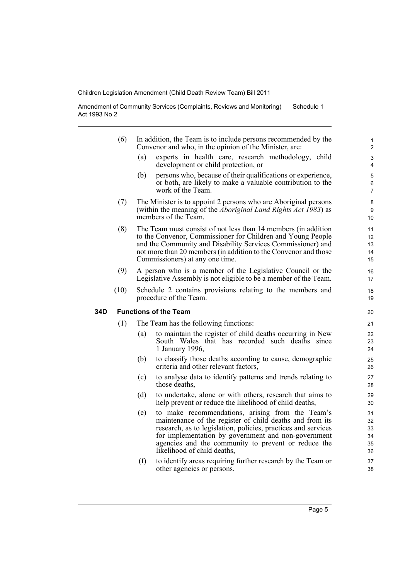Amendment of Community Services (Complaints, Reviews and Monitoring) Act 1993 No 2 Schedule 1

|     | (6)  |     | In addition, the Team is to include persons recommended by the<br>Convenor and who, in the opinion of the Minister, are:                                                                                                                                                                                                   | 1<br>$\overline{2}$              |
|-----|------|-----|----------------------------------------------------------------------------------------------------------------------------------------------------------------------------------------------------------------------------------------------------------------------------------------------------------------------------|----------------------------------|
|     |      | (a) | experts in health care, research methodology, child<br>development or child protection, or                                                                                                                                                                                                                                 | 3<br>4                           |
|     |      | (b) | persons who, because of their qualifications or experience,<br>or both, are likely to make a valuable contribution to the<br>work of the Team.                                                                                                                                                                             | 5<br>6<br>$\overline{7}$         |
|     | (7)  |     | The Minister is to appoint 2 persons who are Aboriginal persons<br>(within the meaning of the <i>Aboriginal Land Rights Act 1983</i> ) as<br>members of the Team.                                                                                                                                                          | 8<br>9<br>10                     |
|     | (8)  |     | The Team must consist of not less than 14 members (in addition<br>to the Convenor, Commissioner for Children and Young People<br>and the Community and Disability Services Commissioner) and<br>not more than 20 members (in addition to the Convenor and those<br>Commissioners) at any one time.                         | 11<br>12<br>13<br>14<br>15       |
|     | (9)  |     | A person who is a member of the Legislative Council or the<br>Legislative Assembly is not eligible to be a member of the Team.                                                                                                                                                                                             | 16<br>17                         |
|     | (10) |     | Schedule 2 contains provisions relating to the members and<br>procedure of the Team.                                                                                                                                                                                                                                       | 18<br>19                         |
| 34D |      |     | <b>Functions of the Team</b>                                                                                                                                                                                                                                                                                               | 20                               |
|     | (1)  |     | The Team has the following functions:                                                                                                                                                                                                                                                                                      | 21                               |
|     |      | (a) | to maintain the register of child deaths occurring in New<br>South Wales that has recorded such deaths since<br>1 January 1996,                                                                                                                                                                                            | 22<br>23<br>24                   |
|     |      | (b) | to classify those deaths according to cause, demographic<br>criteria and other relevant factors,                                                                                                                                                                                                                           | 25<br>26                         |
|     |      | (c) | to analyse data to identify patterns and trends relating to<br>those deaths,                                                                                                                                                                                                                                               | 27<br>28                         |
|     |      | (d) | to undertake, alone or with others, research that aims to<br>help prevent or reduce the likelihood of child deaths,                                                                                                                                                                                                        | 29<br>30                         |
|     |      | (e) | to make recommendations, arising from the Team's<br>maintenance of the register of child deaths and from its<br>research, as to legislation, policies, practices and services<br>for implementation by government and non-government<br>agencies and the community to prevent or reduce the<br>likelihood of child deaths, | 31<br>32<br>33<br>34<br>35<br>36 |
|     |      | (f) | to identify areas requiring further research by the Team or<br>other agencies or persons.                                                                                                                                                                                                                                  | 37<br>38                         |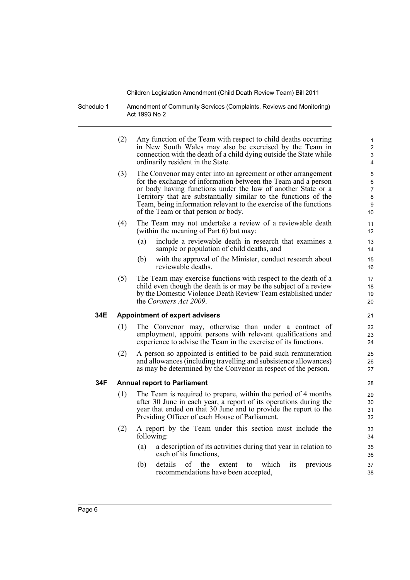Schedule 1 Amendment of Community Services (Complaints, Reviews and Monitoring) Act 1993 No 2

> (2) Any function of the Team with respect to child deaths occurring in New South Wales may also be exercised by the Team in connection with the death of a child dying outside the State while ordinarily resident in the State.

- (3) The Convenor may enter into an agreement or other arrangement for the exchange of information between the Team and a person or body having functions under the law of another State or a Territory that are substantially similar to the functions of the Team, being information relevant to the exercise of the functions of the Team or that person or body.
- (4) The Team may not undertake a review of a reviewable death (within the meaning of Part 6) but may:
	- (a) include a reviewable death in research that examines a sample or population of child deaths, and
	- (b) with the approval of the Minister, conduct research about reviewable deaths.
- (5) The Team may exercise functions with respect to the death of a child even though the death is or may be the subject of a review by the Domestic Violence Death Review Team established under the *Coroners Act 2009*.

#### **34E Appointment of expert advisers**

- (1) The Convenor may, otherwise than under a contract of employment, appoint persons with relevant qualifications and experience to advise the Team in the exercise of its functions.
- (2) A person so appointed is entitled to be paid such remuneration and allowances (including travelling and subsistence allowances) as may be determined by the Convenor in respect of the person.

#### **34F Annual report to Parliament**

- (1) The Team is required to prepare, within the period of 4 months after 30 June in each year, a report of its operations during the year that ended on that 30 June and to provide the report to the Presiding Officer of each House of Parliament.
- (2) A report by the Team under this section must include the following:
	- (a) a description of its activities during that year in relation to each of its functions,
	- (b) details of the extent to which its previous recommendations have been accepted,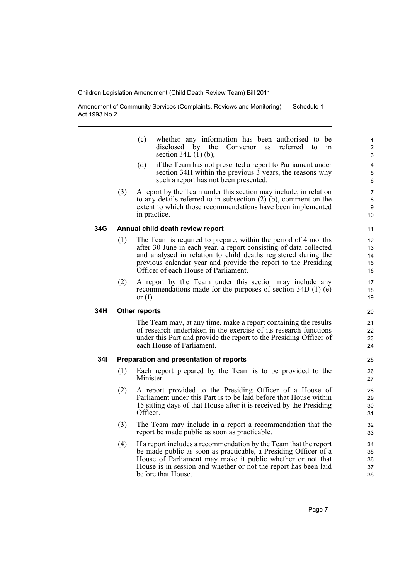Amendment of Community Services (Complaints, Reviews and Monitoring) Act 1993 No 2 Schedule 1

- (c) whether any information has been authorised to be disclosed by the Convenor as referred to in section 34L (1) (b),
- (d) if the Team has not presented a report to Parliament under section 34H within the previous  $\overline{3}$  years, the reasons why such a report has not been presented.
- (3) A report by the Team under this section may include, in relation to any details referred to in subsection (2) (b), comment on the extent to which those recommendations have been implemented in practice.

#### **34G Annual child death review report**

- (1) The Team is required to prepare, within the period of 4 months after 30 June in each year, a report consisting of data collected and analysed in relation to child deaths registered during the previous calendar year and provide the report to the Presiding Officer of each House of Parliament.
- (2) A report by the Team under this section may include any recommendations made for the purposes of section 34D (1) (e) or  $(f)$ .

#### **34H Other reports**

The Team may, at any time, make a report containing the results of research undertaken in the exercise of its research functions under this Part and provide the report to the Presiding Officer of each House of Parliament.

#### **34I Preparation and presentation of reports**

- (1) Each report prepared by the Team is to be provided to the Minister.
- (2) A report provided to the Presiding Officer of a House of Parliament under this Part is to be laid before that House within 15 sitting days of that House after it is received by the Presiding Officer.
- (3) The Team may include in a report a recommendation that the report be made public as soon as practicable.
- (4) If a report includes a recommendation by the Team that the report be made public as soon as practicable, a Presiding Officer of a House of Parliament may make it public whether or not that House is in session and whether or not the report has been laid before that House.

10 11

 $20$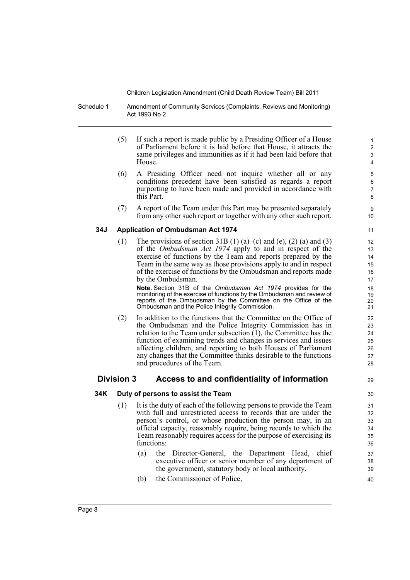Schedule 1 Amendment of Community Services (Complaints, Reviews and Monitoring) Act 1993 No 2

- (5) If such a report is made public by a Presiding Officer of a House of Parliament before it is laid before that House, it attracts the same privileges and immunities as if it had been laid before that House.
- (6) A Presiding Officer need not inquire whether all or any conditions precedent have been satisfied as regards a report purporting to have been made and provided in accordance with this Part.
- (7) A report of the Team under this Part may be presented separately from any other such report or together with any other such report.

#### **34J Application of Ombudsman Act 1974**

(1) The provisions of section 31B (1) (a)–(c) and (e), (2) (a) and (3) of the *Ombudsman Act 1974* apply to and in respect of the exercise of functions by the Team and reports prepared by the Team in the same way as those provisions apply to and in respect of the exercise of functions by the Ombudsman and reports made by the Ombudsman.

**Note.** Section 31B of the *Ombudsman Act 1974* provides for the monitoring of the exercise of functions by the Ombudsman and review of reports of the Ombudsman by the Committee on the Office of the Ombudsman and the Police Integrity Commission.

(2) In addition to the functions that the Committee on the Office of the Ombudsman and the Police Integrity Commission has in relation to the Team under subsection  $(1)$ , the Committee has the function of examining trends and changes in services and issues affecting children, and reporting to both Houses of Parliament any changes that the Committee thinks desirable to the functions and procedures of the Team.

#### **Division 3 Access to and confidentiality of information**

### 29 30

#### **34K Duty of persons to assist the Team**

- (1) It is the duty of each of the following persons to provide the Team with full and unrestricted access to records that are under the person's control, or whose production the person may, in an official capacity, reasonably require, being records to which the Team reasonably requires access for the purpose of exercising its functions:
	- (a) the Director-General, the Department Head, chief executive officer or senior member of any department of the government, statutory body or local authority,
	- (b) the Commissioner of Police,

11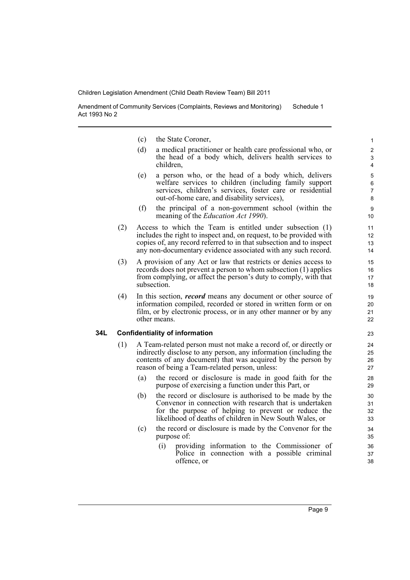Amendment of Community Services (Complaints, Reviews and Monitoring) Act 1993 No 2 Schedule 1

- (c) the State Coroner,
- (d) a medical practitioner or health care professional who, or the head of a body which, delivers health services to children,
- (e) a person who, or the head of a body which, delivers welfare services to children (including family support services, children's services, foster care or residential out-of-home care, and disability services),
- (f) the principal of a non-government school (within the meaning of the *Education Act 1990*).
- (2) Access to which the Team is entitled under subsection (1) includes the right to inspect and, on request, to be provided with copies of, any record referred to in that subsection and to inspect any non-documentary evidence associated with any such record.
- (3) A provision of any Act or law that restricts or denies access to records does not prevent a person to whom subsection (1) applies from complying, or affect the person's duty to comply, with that subsection.
- (4) In this section, *record* means any document or other source of information compiled, recorded or stored in written form or on film, or by electronic process, or in any other manner or by any other means.

#### **34L Confidentiality of information**

- (1) A Team-related person must not make a record of, or directly or indirectly disclose to any person, any information (including the contents of any document) that was acquired by the person by reason of being a Team-related person, unless:
	- (a) the record or disclosure is made in good faith for the purpose of exercising a function under this Part, or
	- (b) the record or disclosure is authorised to be made by the Convenor in connection with research that is undertaken for the purpose of helping to prevent or reduce the likelihood of deaths of children in New South Wales, or
	- (c) the record or disclosure is made by the Convenor for the purpose of:
		- (i) providing information to the Commissioner of Police in connection with a possible criminal offence, or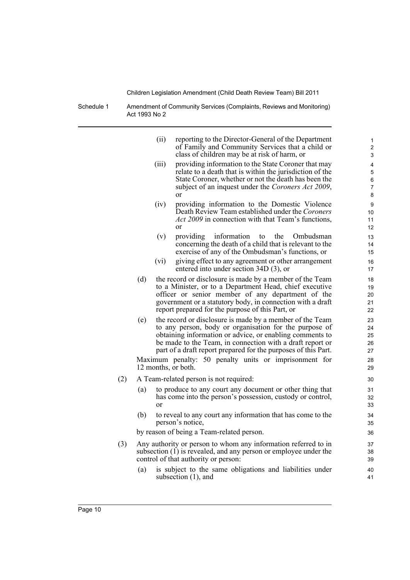Schedule 1 Amendment of Community Services (Complaints, Reviews and Monitoring) Act 1993 No 2

|     |     | (ii)  | reporting to the Director-General of the Department<br>of Family and Community Services that a child or<br>class of children may be at risk of harm, or                                                                                                                                                       | 1<br>2<br>3                                  |
|-----|-----|-------|---------------------------------------------------------------------------------------------------------------------------------------------------------------------------------------------------------------------------------------------------------------------------------------------------------------|----------------------------------------------|
|     |     | (iii) | providing information to the State Coroner that may<br>relate to a death that is within the jurisdiction of the<br>State Coroner, whether or not the death has been the<br>subject of an inquest under the Coroners Act 2009,<br>or                                                                           | 4<br>$\mathbf 5$<br>6<br>$\overline{7}$<br>8 |
|     |     | (iv)  | providing information to the Domestic Violence<br>Death Review Team established under the Coroners<br><i>Act 2009</i> in connection with that Team's functions,<br>or                                                                                                                                         | 9<br>10<br>11<br>12                          |
|     |     | (v)   | providing<br>information<br>to<br>the<br>Ombudsman<br>concerning the death of a child that is relevant to the<br>exercise of any of the Ombudsman's functions, or                                                                                                                                             | 13<br>14<br>15                               |
|     |     | (vi)  | giving effect to any agreement or other arrangement<br>entered into under section 34D (3), or                                                                                                                                                                                                                 | 16<br>17                                     |
|     | (d) |       | the record or disclosure is made by a member of the Team<br>to a Minister, or to a Department Head, chief executive<br>officer or senior member of any department of the<br>government or a statutory body, in connection with a draft<br>report prepared for the purpose of this Part, or                    | 18<br>19<br>20<br>21<br>22                   |
|     | (e) |       | the record or disclosure is made by a member of the Team<br>to any person, body or organisation for the purpose of<br>obtaining information or advice, or enabling comments to<br>be made to the Team, in connection with a draft report or<br>part of a draft report prepared for the purposes of this Part. | 23<br>24<br>25<br>26<br>27                   |
|     |     |       | Maximum penalty: 50 penalty units or imprisonment for<br>12 months, or both.                                                                                                                                                                                                                                  | 28<br>29                                     |
| (2) |     |       | A Team-related person is not required:                                                                                                                                                                                                                                                                        | 30                                           |
|     | (a) | or    | to produce to any court any document or other thing that<br>has come into the person's possession, custody or control,                                                                                                                                                                                        | 31<br>32<br>33                               |
|     | (b) |       | to reveal to any court any information that has come to the<br>person's notice,                                                                                                                                                                                                                               | 34<br>35                                     |
|     |     |       | by reason of being a Team-related person.                                                                                                                                                                                                                                                                     | 36                                           |
| (3) |     |       | Any authority or person to whom any information referred to in<br>subsection $(1)$ is revealed, and any person or employee under the<br>control of that authority or person:                                                                                                                                  | 37<br>38<br>39                               |
|     | (a) |       | is subject to the same obligations and liabilities under<br>subsection (1), and                                                                                                                                                                                                                               | 40<br>41                                     |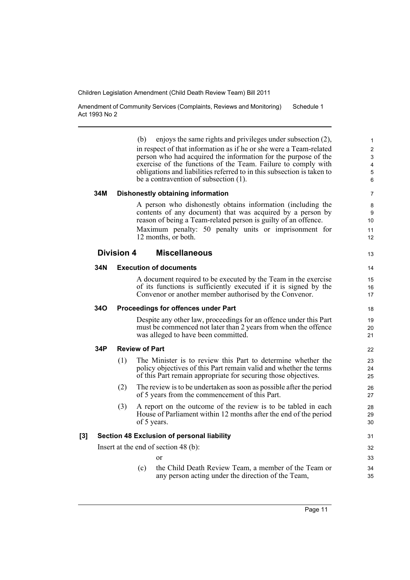Amendment of Community Services (Complaints, Reviews and Monitoring) Act 1993 No 2 Schedule 1

(b) enjoys the same rights and privileges under subsection (2), in respect of that information as if he or she were a Team-related person who had acquired the information for the purpose of the exercise of the functions of the Team. Failure to comply with obligations and liabilities referred to in this subsection is taken to be a contravention of subsection (1). **34M Dishonestly obtaining information** A person who dishonestly obtains information (including the contents of any document) that was acquired by a person by reason of being a Team-related person is guilty of an offence. Maximum penalty: 50 penalty units or imprisonment for 12 months, or both. **Division 4 Miscellaneous 34N Execution of documents** A document required to be executed by the Team in the exercise of its functions is sufficiently executed if it is signed by the Convenor or another member authorised by the Convenor. **34O Proceedings for offences under Part** Despite any other law, proceedings for an offence under this Part must be commenced not later than 2 years from when the offence was alleged to have been committed. **34P Review of Part** (1) The Minister is to review this Part to determine whether the policy objectives of this Part remain valid and whether the terms of this Part remain appropriate for securing those objectives. (2) The review is to be undertaken as soon as possible after the period of 5 years from the commencement of this Part. (3) A report on the outcome of the review is to be tabled in each House of Parliament within 12 months after the end of the period of 5 years. **[3] Section 48 Exclusion of personal liability** Insert at the end of section 48 (b): or (c) the Child Death Review Team, a member of the Team or any person acting under the direction of the Team, 10 11 12 13 14 15 16 17 18 19 20 21 22 23  $24$ 25 26 27  $28$ 29 30 31 32 33 34 35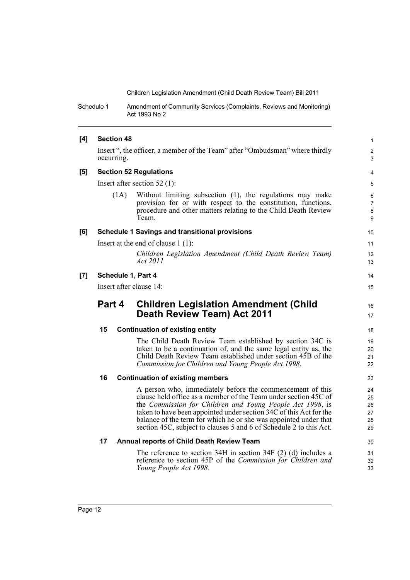Schedule 1 Amendment of Community Services (Complaints, Reviews and Monitoring) Act 1993 No 2

| [4] | <b>Section 48</b>                                                                          |                                                                                                                                                                                                       | $\mathbf{1}$     |  |
|-----|--------------------------------------------------------------------------------------------|-------------------------------------------------------------------------------------------------------------------------------------------------------------------------------------------------------|------------------|--|
|     | Insert ", the officer, a member of the Team" after "Ombudsman" where thirdly<br>occurring. |                                                                                                                                                                                                       |                  |  |
| [5] | <b>Section 52 Regulations</b>                                                              |                                                                                                                                                                                                       |                  |  |
|     |                                                                                            | Insert after section $52$ (1):                                                                                                                                                                        | 5                |  |
|     | (1A)                                                                                       | Without limiting subsection (1), the regulations may make<br>provision for or with respect to the constitution, functions,<br>procedure and other matters relating to the Child Death Review<br>Team. | 6<br>7<br>8<br>9 |  |
| [6] |                                                                                            | <b>Schedule 1 Savings and transitional provisions</b>                                                                                                                                                 | 10               |  |
|     |                                                                                            | Insert at the end of clause $1(1)$ :                                                                                                                                                                  | 11               |  |
|     |                                                                                            | Children Legislation Amendment (Child Death Review Team)<br><i>Act</i> 2011                                                                                                                           | 12<br>13         |  |
| [7] | Schedule 1, Part 4                                                                         |                                                                                                                                                                                                       |                  |  |
|     | Insert after clause 14:                                                                    |                                                                                                                                                                                                       |                  |  |
|     |                                                                                            |                                                                                                                                                                                                       |                  |  |
|     | Part 4                                                                                     | <b>Children Legislation Amendment (Child</b><br>Death Review Team) Act 2011                                                                                                                           | 16<br>17         |  |
|     | 15                                                                                         | <b>Continuation of existing entity</b>                                                                                                                                                                | 18               |  |
|     |                                                                                            | The Child Death Review Team established by section 34C is                                                                                                                                             | 19               |  |
|     |                                                                                            | taken to be a continuation of, and the same legal entity as, the                                                                                                                                      | 20               |  |
|     |                                                                                            | Child Death Review Team established under section 45B of the<br>Commission for Children and Young People Act 1998.                                                                                    | 21<br>22         |  |
|     | 16                                                                                         | <b>Continuation of existing members</b>                                                                                                                                                               | 23               |  |
|     |                                                                                            |                                                                                                                                                                                                       |                  |  |
|     |                                                                                            | A person who, immediately before the commencement of this<br>clause held office as a member of the Team under section 45C of                                                                          | 24<br>25         |  |
|     |                                                                                            | the Commission for Children and Young People Act 1998, is                                                                                                                                             | 26               |  |
|     |                                                                                            | taken to have been appointed under section 34C of this Act for the                                                                                                                                    | 27               |  |
|     |                                                                                            | balance of the term for which he or she was appointed under that<br>section 45C, subject to clauses 5 and 6 of Schedule 2 to this Act.                                                                | 28<br>29         |  |
|     | 17                                                                                         | <b>Annual reports of Child Death Review Team</b>                                                                                                                                                      | 30               |  |
|     |                                                                                            | The reference to section $34H$ in section $34F(2)$ (d) includes a                                                                                                                                     | 31               |  |
|     |                                                                                            | reference to section 45P of the <i>Commission for Children and</i><br>Young People Act 1998.                                                                                                          | 32<br>33         |  |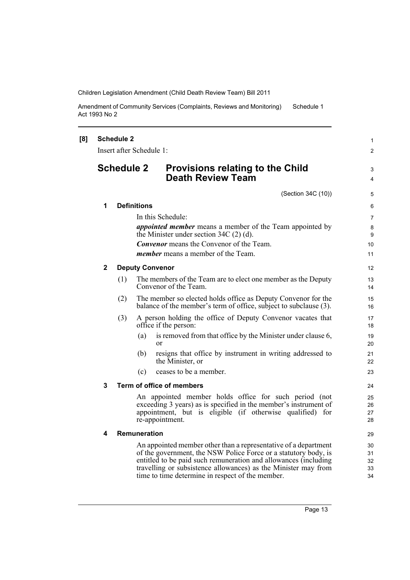Amendment of Community Services (Complaints, Reviews and Monitoring) Act 1993 No 2 Schedule 1

| [8] |                                                                                                                                                                                                                                                                                                                             | <b>Schedule 2</b><br>Insert after Schedule 1: |                            |                                                                                                                                    | $\mathbf{1}$<br>$\overline{2}$ |
|-----|-----------------------------------------------------------------------------------------------------------------------------------------------------------------------------------------------------------------------------------------------------------------------------------------------------------------------------|-----------------------------------------------|----------------------------|------------------------------------------------------------------------------------------------------------------------------------|--------------------------------|
|     |                                                                                                                                                                                                                                                                                                                             | <b>Schedule 2</b>                             |                            | <b>Provisions relating to the Child</b><br><b>Death Review Team</b>                                                                | 3<br>4                         |
|     |                                                                                                                                                                                                                                                                                                                             |                                               |                            | (Section 34C (10))                                                                                                                 | 5                              |
|     | 1<br><b>Definitions</b>                                                                                                                                                                                                                                                                                                     |                                               |                            |                                                                                                                                    | 6                              |
|     |                                                                                                                                                                                                                                                                                                                             |                                               |                            | In this Schedule:                                                                                                                  | $\overline{7}$                 |
|     |                                                                                                                                                                                                                                                                                                                             |                                               |                            | <i>appointed member</i> means a member of the Team appointed by<br>the Minister under section $34C(2)$ (d).                        | 8<br>9                         |
|     |                                                                                                                                                                                                                                                                                                                             |                                               |                            | <b>Convenor</b> means the Convenor of the Team.                                                                                    | 10                             |
|     |                                                                                                                                                                                                                                                                                                                             |                                               |                            | <i>member</i> means a member of the Team.                                                                                          | 11                             |
|     | 2                                                                                                                                                                                                                                                                                                                           |                                               |                            | <b>Deputy Convenor</b>                                                                                                             | 12 <sup>2</sup>                |
|     |                                                                                                                                                                                                                                                                                                                             | (1)                                           |                            | The members of the Team are to elect one member as the Deputy<br>Convenor of the Team.                                             | 13<br>14                       |
|     |                                                                                                                                                                                                                                                                                                                             | (2)                                           |                            | The member so elected holds office as Deputy Convenor for the<br>balance of the member's term of office, subject to subclause (3). | 15<br>16                       |
|     | (3)                                                                                                                                                                                                                                                                                                                         |                                               |                            | A person holding the office of Deputy Convenor vacates that<br>office if the person:                                               | 17<br>18                       |
|     |                                                                                                                                                                                                                                                                                                                             |                                               | (a)                        | is removed from that office by the Minister under clause 6,<br>or                                                                  | 19<br>20                       |
|     |                                                                                                                                                                                                                                                                                                                             |                                               | (b)                        | resigns that office by instrument in writing addressed to<br>the Minister, or                                                      | 21<br>22                       |
|     |                                                                                                                                                                                                                                                                                                                             |                                               | (c)                        | ceases to be a member.                                                                                                             | 23                             |
|     | 3                                                                                                                                                                                                                                                                                                                           |                                               |                            | Term of office of members                                                                                                          | 24                             |
|     | An appointed member holds office for such period (not<br>exceeding 3 years) as is specified in the member's instrument of<br>appointment, but is eligible (if otherwise qualified) for<br>re-appointment.                                                                                                                   |                                               | 25<br>26<br>27<br>28       |                                                                                                                                    |                                |
|     | 4                                                                                                                                                                                                                                                                                                                           |                                               | <b>Remuneration</b>        |                                                                                                                                    | 29                             |
|     | An appointed member other than a representative of a department<br>of the government, the NSW Police Force or a statutory body, is<br>entitled to be paid such remuneration and allowances (including<br>travelling or subsistence allowances) as the Minister may from<br>time to time determine in respect of the member. |                                               | 30<br>31<br>32<br>33<br>34 |                                                                                                                                    |                                |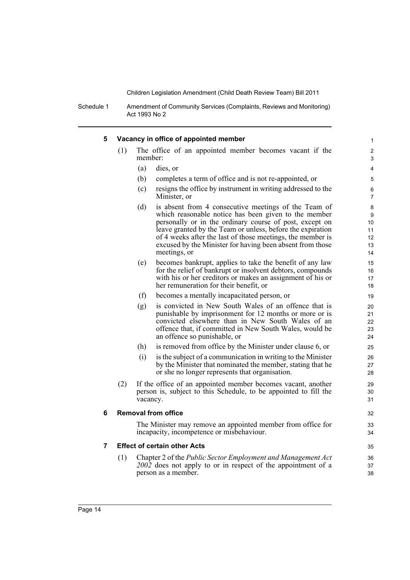Schedule 1 Amendment of Community Services (Complaints, Reviews and Monitoring) Act 1993 No 2

| 5 |     | Vacancy in office of appointed member     |                                                                                                                                  |  |
|---|-----|-------------------------------------------|----------------------------------------------------------------------------------------------------------------------------------|--|
|   | (1) | member:                                   | The office of an appointed member becomes vacant if the                                                                          |  |
|   |     | (a)<br>dies, or                           |                                                                                                                                  |  |
|   |     | (b)                                       | completes a term of office and is not re-appointed, or                                                                           |  |
|   |     | (c)                                       | resigns the office by instrument in writing addressed to the                                                                     |  |
|   |     | Minister, or                              |                                                                                                                                  |  |
|   |     | (d)                                       | is absent from 4 consecutive meetings of the Team of                                                                             |  |
|   |     |                                           | which reasonable notice has been given to the member                                                                             |  |
|   |     |                                           | personally or in the ordinary course of post, except on<br>leave granted by the Team or unless, before the expiration            |  |
|   |     |                                           | of 4 weeks after the last of those meetings, the member is                                                                       |  |
|   |     |                                           | excused by the Minister for having been absent from those                                                                        |  |
|   |     | meetings, or                              |                                                                                                                                  |  |
|   |     | (e)                                       | becomes bankrupt, applies to take the benefit of any law                                                                         |  |
|   |     |                                           | for the relief of bankrupt or insolvent debtors, compounds<br>with his or her creditors or makes an assignment of his or         |  |
|   |     | her remuneration for their benefit, or    |                                                                                                                                  |  |
|   |     | (f)                                       | becomes a mentally incapacitated person, or                                                                                      |  |
|   |     | (g)                                       | is convicted in New South Wales of an offence that is                                                                            |  |
|   |     |                                           | punishable by imprisonment for 12 months or more or is                                                                           |  |
|   |     |                                           | convicted elsewhere than in New South Wales of an<br>offence that, if committed in New South Wales, would be                     |  |
|   |     | an offence so punishable, or              |                                                                                                                                  |  |
|   |     | (h)                                       | is removed from office by the Minister under clause 6, or                                                                        |  |
|   |     | (i)                                       | is the subject of a communication in writing to the Minister                                                                     |  |
|   |     |                                           | by the Minister that nominated the member, stating that he                                                                       |  |
|   |     |                                           | or she no longer represents that organisation.                                                                                   |  |
|   | (2) |                                           | If the office of an appointed member becomes vacant, another<br>person is, subject to this Schedule, to be appointed to fill the |  |
|   |     | vacancy.                                  |                                                                                                                                  |  |
| 6 |     | <b>Removal from office</b>                |                                                                                                                                  |  |
|   |     |                                           |                                                                                                                                  |  |
|   |     | incapacity, incompetence or misbehaviour. | The Minister may remove an appointed member from office for                                                                      |  |
|   |     |                                           |                                                                                                                                  |  |
| 7 |     | <b>Effect of certain other Acts</b>       |                                                                                                                                  |  |
|   | (1) |                                           | Chapter 2 of the Public Sector Employment and Management Act<br>2002 does not apply to or in respect of the appointment of a     |  |
|   |     | person as a member.                       |                                                                                                                                  |  |

Ĺ,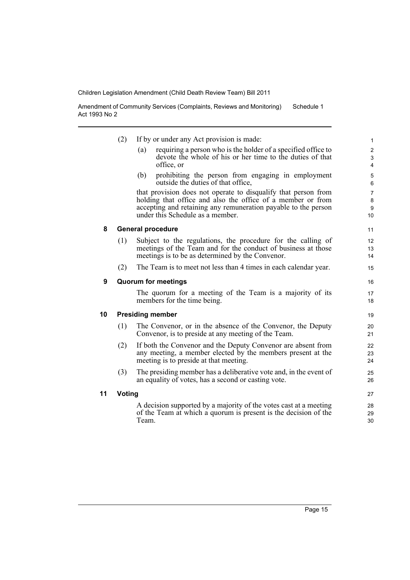Amendment of Community Services (Complaints, Reviews and Monitoring) Act 1993 No 2 Schedule 1

|    | (2)    | If by or under any Act provision is made:                                                                                                                                                                                           |                                               |
|----|--------|-------------------------------------------------------------------------------------------------------------------------------------------------------------------------------------------------------------------------------------|-----------------------------------------------|
|    |        | requiring a person who is the holder of a specified office to<br>(a)<br>devote the whole of his or her time to the duties of that<br>office, or                                                                                     | $\overline{c}$<br>3<br>$\overline{4}$         |
|    |        | prohibiting the person from engaging in employment<br>(b)<br>outside the duties of that office,                                                                                                                                     | 5<br>6                                        |
|    |        | that provision does not operate to disqualify that person from<br>holding that office and also the office of a member or from<br>accepting and retaining any remuneration payable to the person<br>under this Schedule as a member. | $\overline{7}$<br>8<br>$\boldsymbol{9}$<br>10 |
| 8  |        | <b>General procedure</b>                                                                                                                                                                                                            | 11                                            |
|    | (1)    | Subject to the regulations, the procedure for the calling of<br>meetings of the Team and for the conduct of business at those<br>meetings is to be as determined by the Convenor.                                                   | 12<br>13<br>14                                |
|    | (2)    | The Team is to meet not less than 4 times in each calendar year.                                                                                                                                                                    | 15                                            |
| 9  |        | <b>Quorum for meetings</b>                                                                                                                                                                                                          | 16                                            |
|    |        | The quorum for a meeting of the Team is a majority of its<br>members for the time being.                                                                                                                                            | 17<br>18                                      |
| 10 |        | <b>Presiding member</b>                                                                                                                                                                                                             | 19                                            |
|    | (1)    | The Convenor, or in the absence of the Convenor, the Deputy<br>Convenor, is to preside at any meeting of the Team.                                                                                                                  | 20<br>21                                      |
|    | (2)    | If both the Convenor and the Deputy Convenor are absent from<br>any meeting, a member elected by the members present at the<br>meeting is to preside at that meeting.                                                               | 22<br>23<br>24                                |
|    | (3)    | The presiding member has a deliberative vote and, in the event of<br>an equality of votes, has a second or casting vote.                                                                                                            | 25<br>26                                      |
| 11 | Voting |                                                                                                                                                                                                                                     | 27                                            |
|    |        | A decision supported by a majority of the votes cast at a meeting<br>of the Team at which a quorum is present is the decision of the<br>Team.                                                                                       | 28<br>29<br>30                                |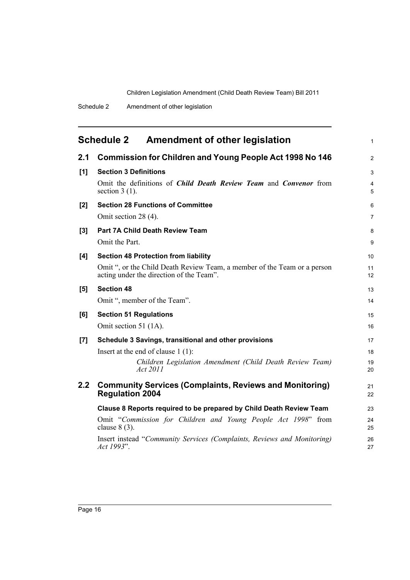<span id="page-19-0"></span>

| <b>Schedule 2</b> | <b>Amendment of other legislation</b> |  |
|-------------------|---------------------------------------|--|
|-------------------|---------------------------------------|--|

| 2.1 | <b>Commission for Children and Young People Act 1998 No 146</b>                                                      | $\overline{2}$      |
|-----|----------------------------------------------------------------------------------------------------------------------|---------------------|
| [1] | <b>Section 3 Definitions</b>                                                                                         | 3                   |
|     | Omit the definitions of <i>Child Death Review Team</i> and <i>Convenor</i> from<br>section $3(1)$ .                  | $\overline{4}$<br>5 |
| [2] | <b>Section 28 Functions of Committee</b>                                                                             | 6                   |
|     | Omit section 28 (4).                                                                                                 | 7                   |
| [3] | Part 7A Child Death Review Team                                                                                      | 8                   |
|     | Omit the Part.                                                                                                       | 9                   |
| [4] | <b>Section 48 Protection from liability</b>                                                                          | 10                  |
|     | Omit ", or the Child Death Review Team, a member of the Team or a person<br>acting under the direction of the Team". | 11<br>12            |
| [5] | <b>Section 48</b>                                                                                                    | 13                  |
|     | Omit ", member of the Team".                                                                                         | 14                  |
| [6] | <b>Section 51 Regulations</b>                                                                                        | 15                  |
|     | Omit section 51 (1A).                                                                                                | 16                  |
| [7] | Schedule 3 Savings, transitional and other provisions                                                                | 17                  |
|     | Insert at the end of clause $1(1)$ :                                                                                 | 18                  |
|     | Children Legislation Amendment (Child Death Review Team)<br>Act 2011                                                 | 19<br>20            |
| 2.2 | <b>Community Services (Complaints, Reviews and Monitoring)</b><br><b>Regulation 2004</b>                             | 21<br>22            |
|     | Clause 8 Reports required to be prepared by Child Death Review Team                                                  | 23                  |
|     | Omit "Commission for Children and Young People Act 1998" from<br>clause $8(3)$ .                                     | 24<br>25            |
|     | Insert instead "Community Services (Complaints, Reviews and Monitoring)<br>Act 1993".                                | 26<br>27            |
|     |                                                                                                                      |                     |